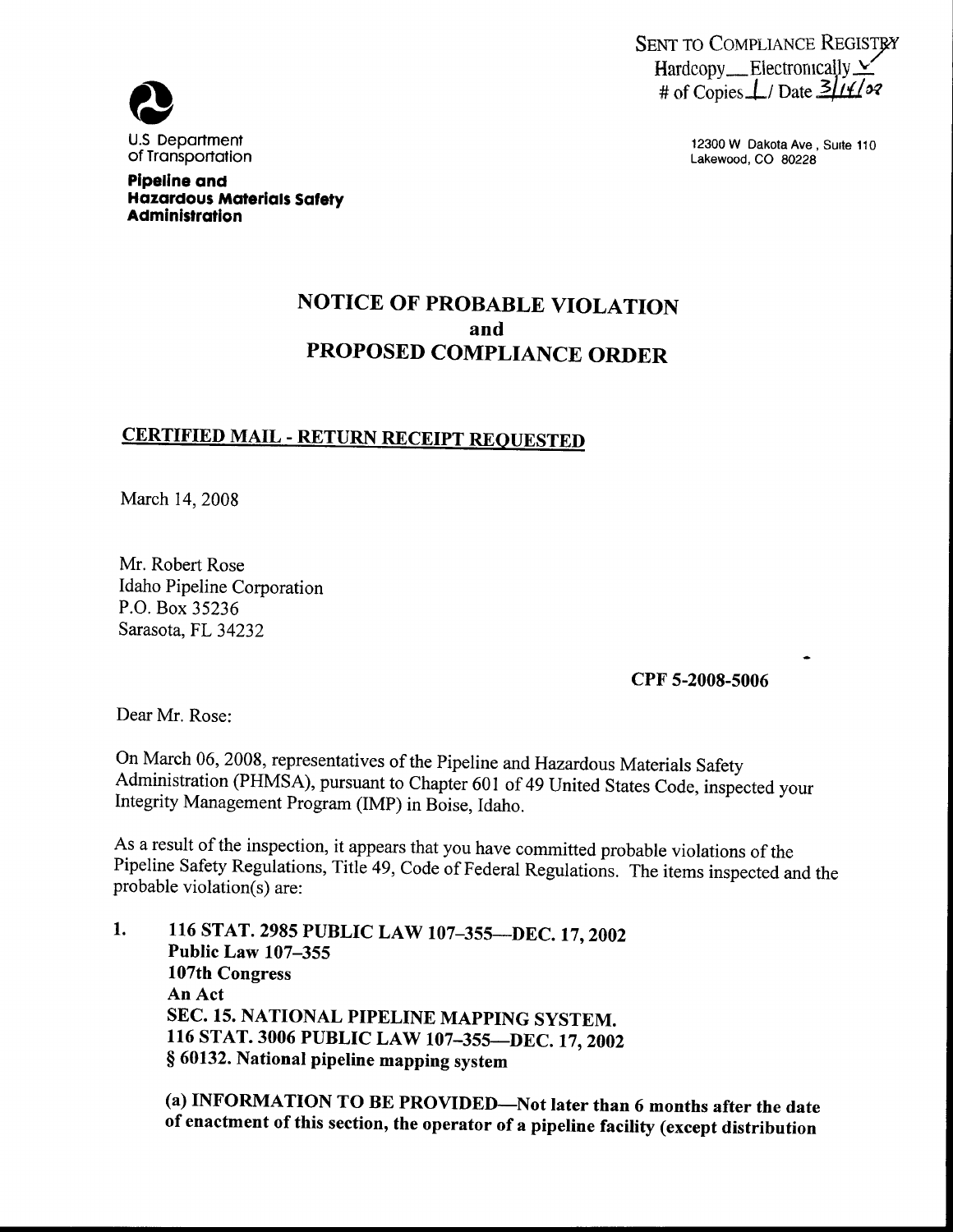

12300 W Dakota Ave, Suite 110 Lakewood, CO 80228

# **Q** U.S Department of Transportation

Pipeline and Hazardous Materials Safety Administration

## NOTICE OF PROBABLE VIOLATION and PROPOSED COMPLIANCE ORDER

## CERTIFIED MAIL - RETURN RECEIPT REQUESTED

March 14, 2008

Mr. Robert Rose Idaho Pipeline Corporation P.O. Box 35236 Sarasota, FL 34232

CPF 5-200S-5006

Dear Mr, Rose:

On March 06, 2008, representatives of the Pipeline and Hazardous Materials Safety Administration (PHMSA), pursuant to Chapter 601 of 49 United States Code, inspected your Integrity Management Program (IMP) in Boise, Idaho.

As a result of the inspection, it appears that you have committed probable violations of the Pipeline Safety Regulations, Title 49, Code of Federal Regulations. The items inspected and the probable violation(s) are:

116 STAT. 2985 PUBLIC LAW 107-355--- DEC. 17, 2002 1. Public Law 107-355 107th Congress An Act SEC. 15. NATIONAL PIPELINE MAPPING SYSTEM. 116 STAT. 3006 PUBLIC LAW 107-355-DEC. 17, 2002 § 60132. National pipeline mapping system

(a) INFORMATION TO BE PROVIDED-Not later than 6 months after the date of enactment of this section, the operator of a pipeline facility (except distribution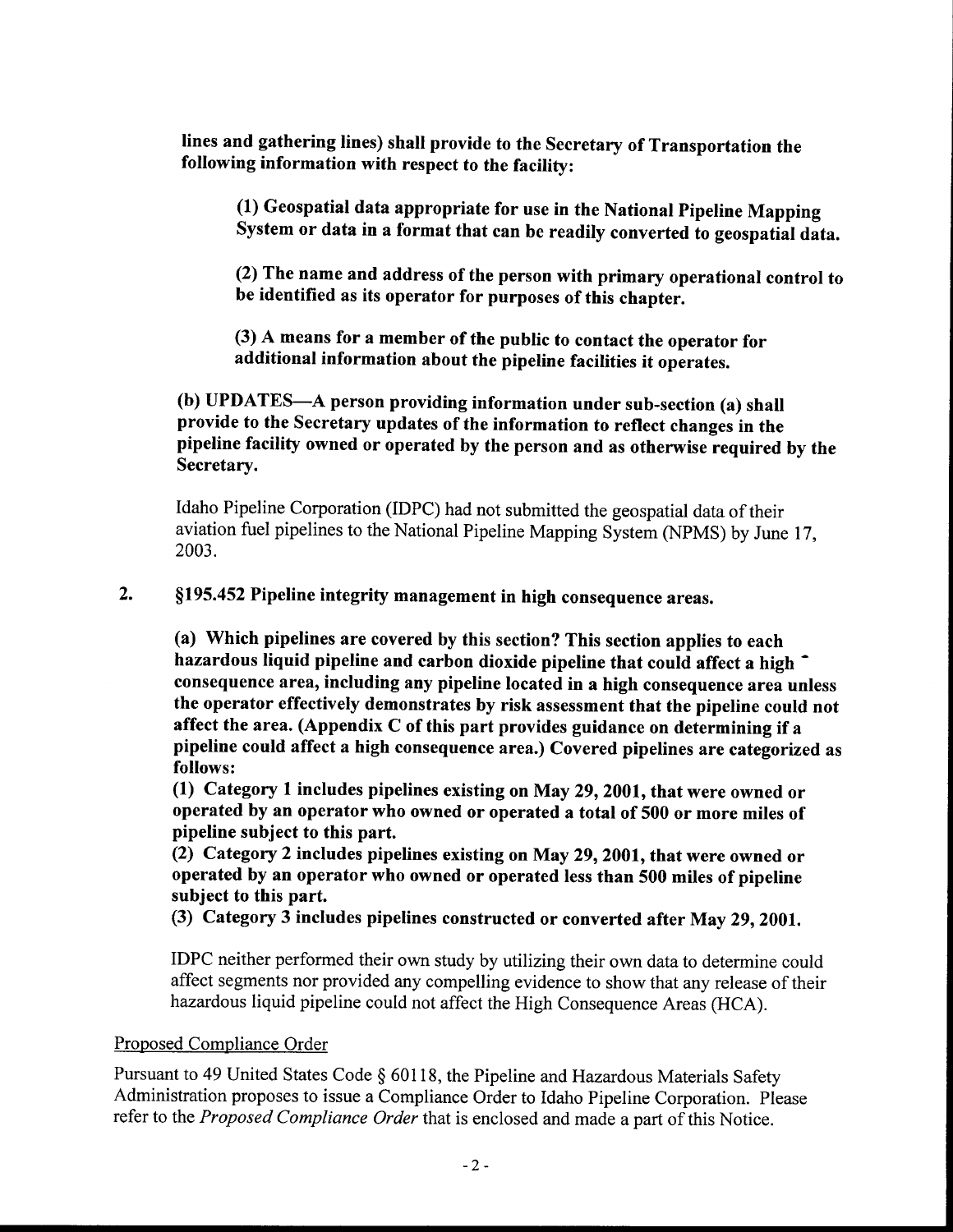lines and gathering lines) shall provide to the Secretary of Transportation the following information with respect to the facility:

(1) Geospatial data appropriate for use in the National Pipeline Mapping System or data in a format that can be readily converted to geospatial data.

(2) The name and address of the person with primary operational control to be identified as its operator for purposes of this chapter.

(3) A means for a member of the public to contact the operator for additional information about the pipeline facilities it operates.

(b) UPDATES-A person providing information under sub-section (a) shall provide to the Secretary updates of the information to reflect changes in the pipeline facility owned or operated by the person and as otherwise required by the Secretary.

Idaho Pipeline Corporation (IDPC) had not submitted the geospatial data of their aviation fuel pipelines to the National Pipeline Mapping System (NPMS) by June 17, 2003.

#### $2.$ \$195. 452 Pipeline integrity management in high consequence areas,

(a) Which pipelines are covered by this section? This section applies to each hazardous liquid pipeline and carbon dioxide pipeline that could affect a high consequence area, including any pipeline located in a high consequence area unless the operator effectively demonstrates by risk assessment that the pipeline could not affect the area. (Appendix C of this part provides guidance on determining if a pipeline could affect a high consequence area. ) Covered pipelines are categorized as follows:

(1) Category 1 includes pipelines existing on May 29, 2001, that were owned or operated by an operator who owned or operated a total of 500 or more miles of pipeline subject to this part.

(2) Category 2 includes pipelines existing on May 29, 2001, that were owned or operated by an operator who owned or operated less than 500 miles of pipeline subject to this part.

(3) Category 3 includes pipelines constructed or converted after May 29, 2001.

IDPC neither performed their own study by utilizing their own data to determine could affect segments nor provided any compelling evidence to show that any release of their hazardous liquid pipeline could not affect the High Consequence Areas (HCA).

### Proposed Compliance Order

Pursuant to 49 United States Code \$ 60118, the Pipeline and Hazardous Materials Safety Administration proposes to issue a Compliance Order to Idaho Pipeline Corporation. Please refer to the Proposed Compliance Order that is enclosed and made a part of this Notice.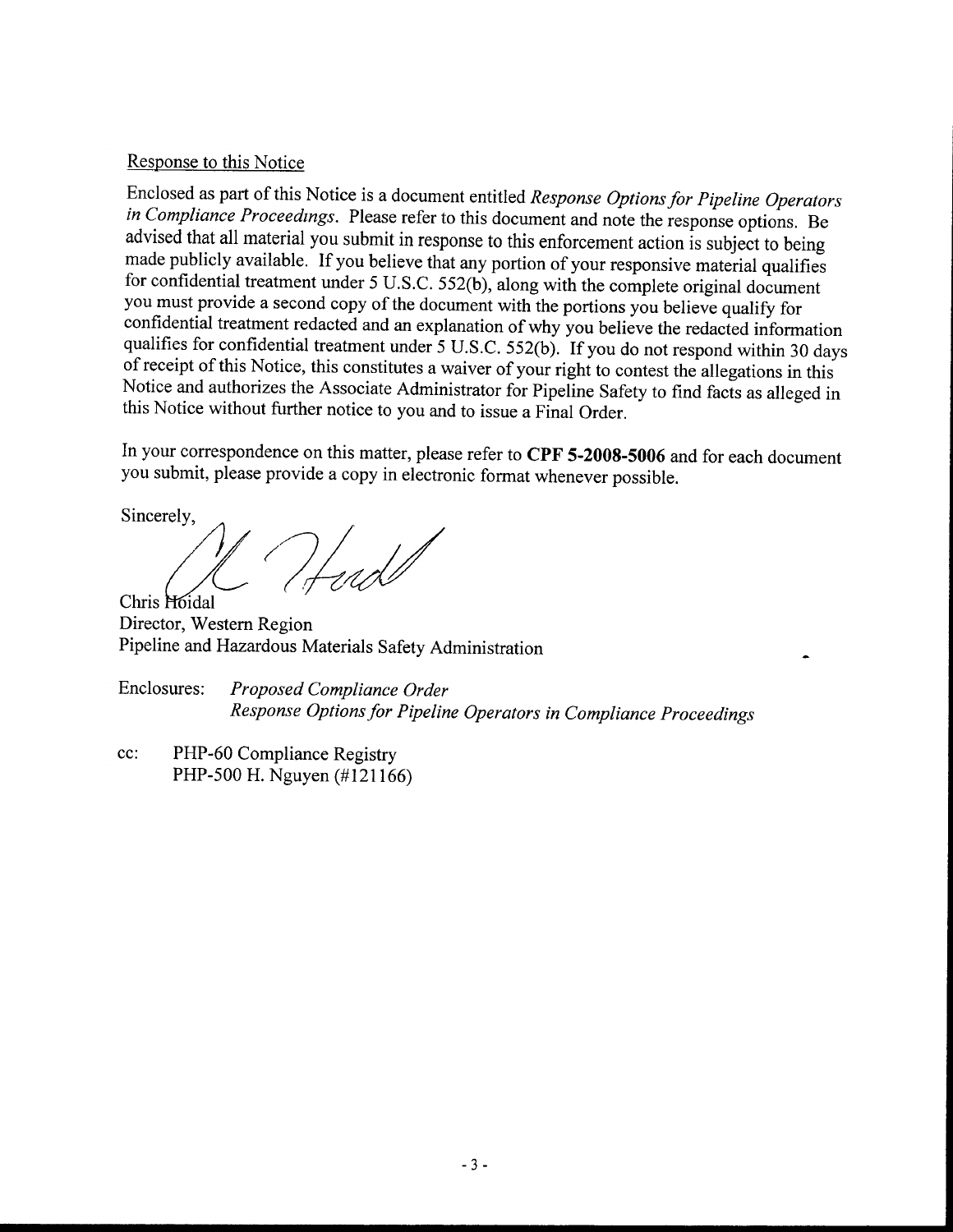### Response to this Notice

Enclosed as part of this Notice is a document entitled Response Options for Pipeline Operators in Compliance Proceedings. Please refer to this document and note the response options. Be advised that all material you submit in response to this enforcement action is subject to being made publicly available. If you believe that any portion of your responsive material qualifies for confidential treatment under 5 U.S.C. 552(b), along with the complete original document you must provide a second copy of the document with the portions you believe qualify for confidential treatment redacted and an explanation of why you believe the redacted information qualifies for confidential treatment under 5 U.S.C. 552(b). If you do not respond within 30 days of receipt of this Notice, this constitutes a waiver of your right to contest the allegations in this Notice and authorizes the Associate Administrator for Pipeline Safety to find facts as alleged in this Notice without further notice to you and to issue a Final Order.

In your correspondence on this matter, please refer to CPF 5-2008-5006 and for each document you submit, please provide a copy in electronic format whenever possible.

Sincerely,

Hud

Chris Hoidal Director, Western Region Pipeline and Hazardous Materials Safety Administration

Enclosures: Proposed Compliance Order Response Options for Pipeline Operators in Compliance Proceedings

cc: PHP-60 Compliance Registry PHP-500 H. Nguyen (#121166)